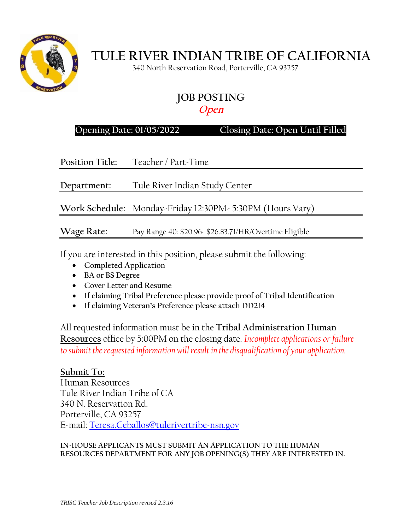

# **TULE RIVER INDIAN TRIBE OF CALIFORNIA**

340 North Reservation Road, Porterville, CA 93257

# **JOB POSTING**

## **Open**

**Opening Date: 01/05/2022 Closing Date: Open Until Filled**

**Position Title:** Teacher / Part-Time

**Department:** Tule River Indian Study Center

**Work Schedule:** Monday-Friday 12:30PM- 5:30PM (Hours Vary)

**Wage Rate:** Pay Range 40: \$20.96- \$26.83.71/HR/Overtime Eligible

If you are interested in this position, please submit the following:

- **Completed Application**
- **BA or BS Degree**
- **Cover Letter and Resume**
- **If claiming Tribal Preference please provide proof of Tribal Identification**
- **If claiming Veteran's Preference please attach DD214**

All requested information must be in the **Tribal Administration Human Resources** office by 5:00PM on the closing date. *Incomplete applications or failure to submit the requested information will result in the disqualification of your application.*

### **Submit To:**

Human Resources Tule River Indian Tribe of CA 340 N. Reservation Rd. Porterville, CA 93257 E-mail: [Teresa.Ceballos@tulerivertribe-nsn.gov](mailto:Teresa.Ceballos@tulerivertribe-nsn.gov)

#### **IN-HOUSE APPLICANTS MUST SUBMIT AN APPLICATION TO THE HUMAN RESOURCES DEPARTMENT FOR ANY JOB OPENING(S) THEY ARE INTERESTED IN.**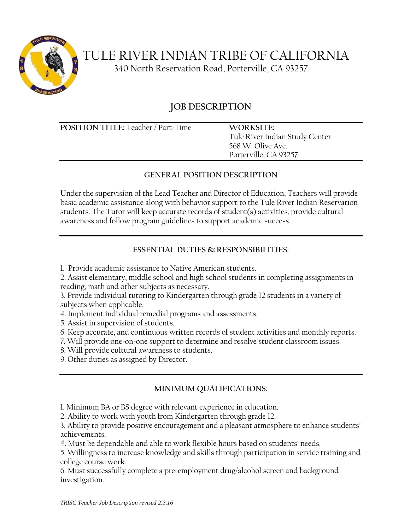

 TULE RIVER INDIAN TRIBE OF CALIFORNIA 340 North Reservation Road, Porterville, CA 93257

## **JOB DESCRIPTION**

**POSITION TITLE:** Teacher / Part-Time **WORKSITE:**

Tule River Indian Study Center 568 W. Olive Ave. Porterville, CA 93257

#### **GENERAL POSITION DESCRIPTION**

Under the supervision of the Lead Teacher and Director of Education, Teachers will provide basic academic assistance along with behavior support to the Tule River Indian Reservation students. The Tutor will keep accurate records of student(s) activities, provide cultural awareness and follow program guidelines to support academic success.

## **ESSENTIAL DUTIES & RESPONSIBILITIES:**

1. Provide academic assistance to Native American students.

2. Assist elementary, middle school and high school students in completing assignments in reading, math and other subjects as necessary.

3. Provide individual tutoring to Kindergarten through grade 12 students in a variety of subjects when applicable.

4. Implement individual remedial programs and assessments.

5. Assist in supervision of students.

6. Keep accurate, and continuous written records of student activities and monthly reports.

7. Will provide one-on-one support to determine and resolve student classroom issues.

8. Will provide cultural awareness to students.

9. Other duties as assigned by Director.

## **MINIMUM QUALIFICATIONS:**

1. Minimum BA or BS degree with relevant experience in education.

2. Ability to work with youth from Kindergarten through grade 12.

3. Ability to provide positive encouragement and a pleasant atmosphere to enhance students' achievements.

4. Must be dependable and able to work flexible hours based on students' needs.

5. Willingness to increase knowledge and skills through participation in service training and college course work.

6. Must successfully complete a pre-employment drug/alcohol screen and background investigation.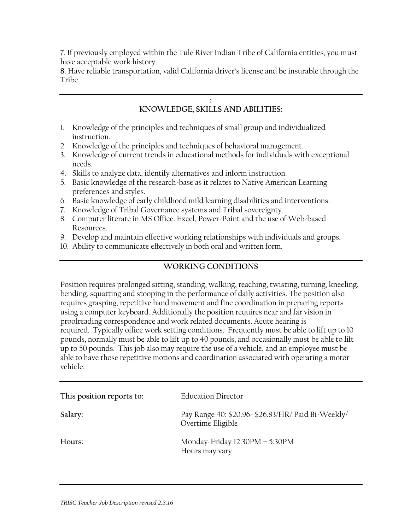7. If previously employed within the Tule River Indian Tribe of California entities, you must have acceptable work history.

**8.** Have reliable transportation, valid California driver's license and be insurable through the Tribe.

#### **: KNOWLEDGE, SKILLS AND ABILITIES:**

- 1. Knowledge of the principles and techniques of small group and individualized instruction.
- 2. Knowledge of the principles and techniques of behavioral management.
- 3. Knowledge of current trends in educational methods for individuals with exceptional needs.
- 4. Skills to analyze data, identify alternatives and inform instruction.
- 5. Basic knowledge of the research-base as it relates to Native American Learning preferences and styles.
- 6. Basic knowledge of early childhood mild learning disabilities and interventions.
- 7. Knowledge of Tribal Governance systems and Tribal sovereignty.
- 8. Computer literate in MS Office. Excel, Power-Point and the use of Web-based Resources.
- 9. Develop and maintain effective working relationships with individuals and groups.
- 10. Ability to communicate effectively in both oral and written form.

#### **WORKING CONDITIONS**

Position requires prolonged sitting, standing, walking, reaching, twisting, turning, kneeling, bending, squatting and stooping in the performance of daily activities. The position also requires grasping, repetitive hand movement and fine coordination in preparing reports using a computer keyboard. Additionally the position requires near and far vision in proofreading correspondence and work related documents. Acute hearing is required. Typically office work setting conditions. Frequently must be able to lift up to 10 pounds, normally must be able to lift up to 40 pounds, and occasionally must be able to lift up to 50 pounds. This job also may require the use of a vehicle, and an employee must be able to have those repetitive motions and coordination associated with operating a motor vehicle.

| This position reports to: | <b>Education Director</b>                                               |
|---------------------------|-------------------------------------------------------------------------|
| Salary:                   | Pay Range 40: \$20.96- \$26.83/HR/ Paid Bi-Weekly/<br>Overtime Eligible |
| Hours:                    | Monday-Friday 12:30PM - 5:30PM<br>Hours may vary                        |